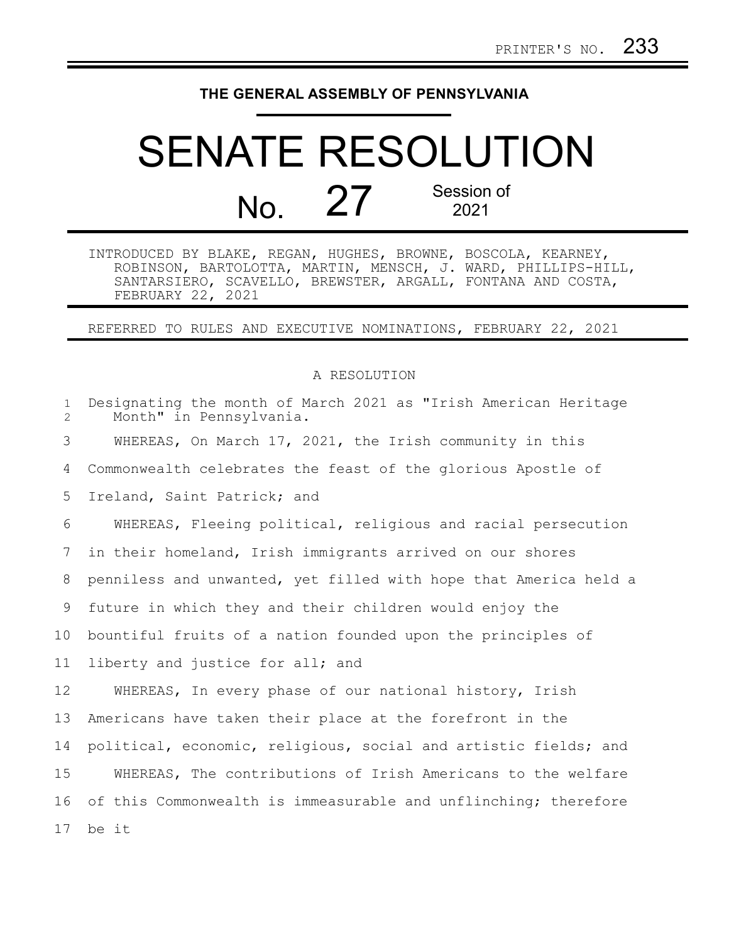## **THE GENERAL ASSEMBLY OF PENNSYLVANIA**

## SENATE RESOLUTION No. 27 Session of 2021

INTRODUCED BY BLAKE, REGAN, HUGHES, BROWNE, BOSCOLA, KEARNEY, ROBINSON, BARTOLOTTA, MARTIN, MENSCH, J. WARD, PHILLIPS-HILL, SANTARSIERO, SCAVELLO, BREWSTER, ARGALL, FONTANA AND COSTA, FEBRUARY 22, 2021

REFERRED TO RULES AND EXECUTIVE NOMINATIONS, FEBRUARY 22, 2021

## A RESOLUTION

| $\mathbf 1$<br>$\overline{2}$ | Designating the month of March 2021 as "Irish American Heritage<br>Month" in Pennsylvania. |
|-------------------------------|--------------------------------------------------------------------------------------------|
| 3                             | WHEREAS, On March 17, 2021, the Irish community in this                                    |
| 4                             | Commonwealth celebrates the feast of the glorious Apostle of                               |
| 5                             | Ireland, Saint Patrick; and                                                                |
| 6                             | WHEREAS, Fleeing political, religious and racial persecution                               |
| 7                             | in their homeland, Irish immigrants arrived on our shores                                  |
| 8                             | penniless and unwanted, yet filled with hope that America held a                           |
| 9                             | future in which they and their children would enjoy the                                    |
| 10                            | bountiful fruits of a nation founded upon the principles of                                |
| 11                            | liberty and justice for all; and                                                           |
| 12                            | WHEREAS, In every phase of our national history, Irish                                     |
| 13                            | Americans have taken their place at the forefront in the                                   |
| 14                            | political, economic, religious, social and artistic fields; and                            |
| 15                            | WHEREAS, The contributions of Irish Americans to the welfare                               |
| 16                            | of this Commonwealth is immeasurable and unflinching; therefore                            |
| 17                            | be it                                                                                      |